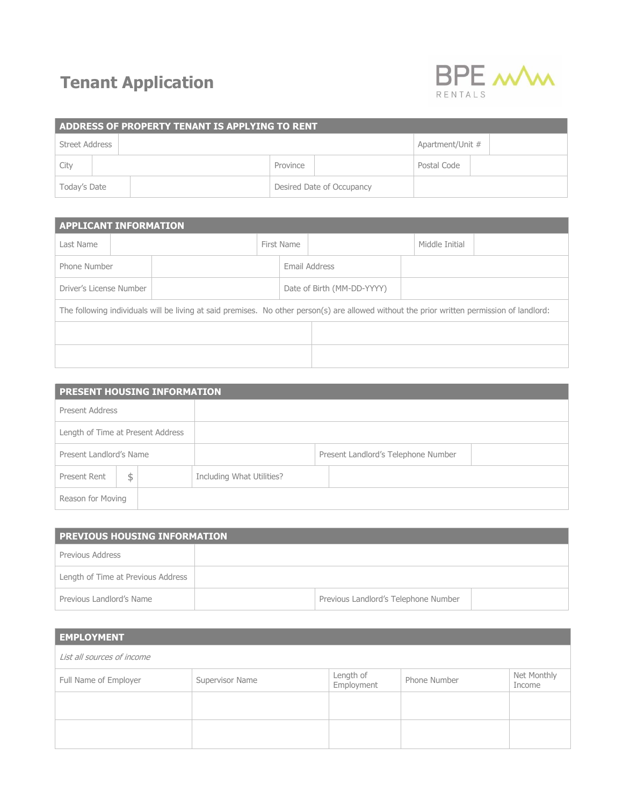## **Tenant Application**



| ADDRESS OF PROPERTY TENANT IS APPLYING TO RENT |  |                           |          |  |                  |  |  |  |
|------------------------------------------------|--|---------------------------|----------|--|------------------|--|--|--|
| Street Address                                 |  |                           |          |  | Apartment/Unit # |  |  |  |
| City                                           |  |                           | Province |  | Postal Code      |  |  |  |
| Today's Date                                   |  | Desired Date of Occupancy |          |  |                  |  |  |  |

| <b>APPLICANT INFORMATION</b>                                                                                                                |  |            |                            |  |                |  |  |  |  |
|---------------------------------------------------------------------------------------------------------------------------------------------|--|------------|----------------------------|--|----------------|--|--|--|--|
| Last Name                                                                                                                                   |  | First Name |                            |  | Middle Initial |  |  |  |  |
| Phone Number                                                                                                                                |  |            | Email Address              |  |                |  |  |  |  |
| Driver's License Number                                                                                                                     |  |            | Date of Birth (MM-DD-YYYY) |  |                |  |  |  |  |
| The following individuals will be living at said premises. No other person(s) are allowed without the prior written permission of landlord: |  |            |                            |  |                |  |  |  |  |
|                                                                                                                                             |  |            |                            |  |                |  |  |  |  |
|                                                                                                                                             |  |            |                            |  |                |  |  |  |  |

| <b>PRESENT HOUSING INFORMATION</b> |  |  |                           |  |                                     |  |  |  |
|------------------------------------|--|--|---------------------------|--|-------------------------------------|--|--|--|
| Present Address                    |  |  |                           |  |                                     |  |  |  |
| Length of Time at Present Address  |  |  |                           |  |                                     |  |  |  |
| Present Landlord's Name            |  |  |                           |  | Present Landlord's Telephone Number |  |  |  |
| Present Rent<br>\$                 |  |  | Including What Utilities? |  |                                     |  |  |  |
| Reason for Moving                  |  |  |                           |  |                                     |  |  |  |

| PREVIOUS HOUSING INFORMATION       |  |                                      |  |  |  |  |  |  |  |
|------------------------------------|--|--------------------------------------|--|--|--|--|--|--|--|
| Previous Address                   |  |                                      |  |  |  |  |  |  |  |
| Length of Time at Previous Address |  |                                      |  |  |  |  |  |  |  |
| Previous Landlord's Name           |  | Previous Landlord's Telephone Number |  |  |  |  |  |  |  |

| <b>EMPLOYMENT</b>          |                 |                         |              |                       |  |  |  |  |
|----------------------------|-----------------|-------------------------|--------------|-----------------------|--|--|--|--|
| List all sources of income |                 |                         |              |                       |  |  |  |  |
| Full Name of Employer      | Supervisor Name | Length of<br>Employment | Phone Number | Net Monthly<br>Income |  |  |  |  |
|                            |                 |                         |              |                       |  |  |  |  |
|                            |                 |                         |              |                       |  |  |  |  |
|                            |                 |                         |              |                       |  |  |  |  |